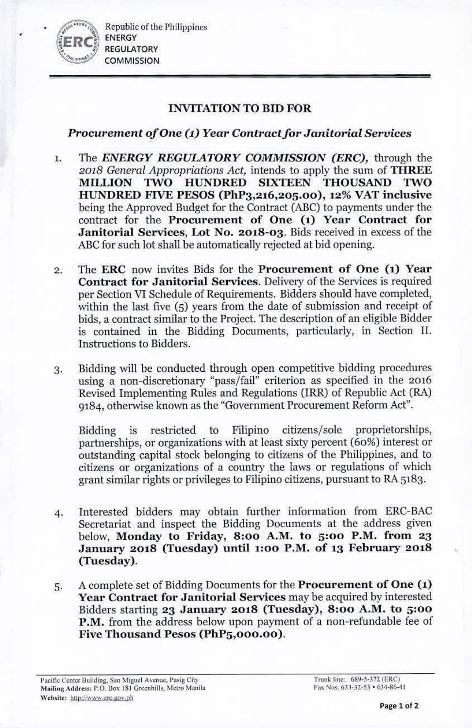Republic of the Philippines ENERGY REGULATORY **COMMISSION** 

•

## INVITATION TO BID FOR

# *Procurement of One* (1) *Year Contract for Janitorial Services*

- 1. The *ENERGY REGULATORY COMMISSION (ERC)*, through the 2018 *General Appropriations Act*, intends to apply the sum of **THREE** MILLION TWO HUNDRED SIXTEEN THOUSAND TWO HUNDRED FIVE PESOS (PhP3,216,205.00), 12% VAT inclusiye being the Approved Budget for the Contract (ABC) to payments under the contract for the Procurement of One (1) Year Conlract for Janitorial Services, Lot No. 2018-03. Bids received in excess of the ABC for such lot shall be automatically rejected at bid opening.
- 2. The ERC now invites Bids for the Procurement of One (1) Year Contract for Janitorial Services. Delivery of the Services is required per Section VI Schedule of Requirements. Bidders should have completed, within the last five (5) years from the date of submission and receipt of bids, a contract similar to the Project. The description of an eligible Bidder is contained in the Bidding Documents, particularly, in Section II. Instructions to Bidders.
- 3. Bidding will be conducted through open competitive bidding procedures using a non-discretionary "pass/fail" criterion as specified in the 2016 Revised Implementing Rules and Regulations (IRR) of Republic Act (RA) 9184, othenvise known as the "Government Procurement Reform Act".

Bidding is restricted to Filipino citizens/sole proprietorships, partnerships, or organizations with at least sixty percent (60%) interest or outstanding capital stock belonging to citizens of the Philippines, and to citizens or organizations of a country the laws or regulations of which grant similar rights or privileges to Filipino citizens, pursuant to RA 5183.

- 4. Interested bidders may obtain further information from ERC~BAC Secretariat and inspect the Bidding Documents at the address given below, Monday to Friday, 8:00 A.M. to  $5:00$  P.M. from 23 January 2018 (Tuesday) until 1:00 P.M. of 13 February 2018 (Tuesday).
- 5. A complete set of Bidding Documents for the **Procurement of One (1)** Year Contract for Janitorial Services may be acquired by interested Bidders starting 23 January 2018 (Tuesday), 8:00 A.M. to 5:00 P.M. from the address below upon payment of a non-refundable fee of Five Thousand Pesos (PhP5,000.00).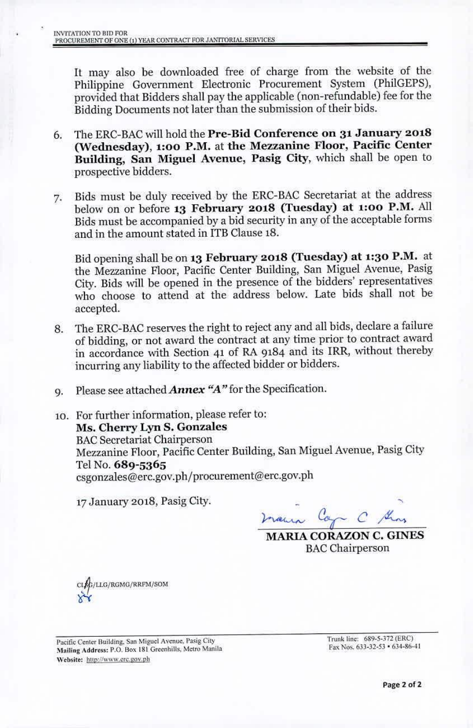It may also be downloaded free of charge from the website of the Philippine Government Electronic Procurement System (PhilGEPS), provided that Bidders shall pay the applicable (non-refundable) fee for the Bidding Documents not later than the submission of their bids.

- 6. The ERC-BAC will hold the Pre-Bid Conference on 31 January 2018 (Wednesday), 1:00 P.M. at the Mezzanine Floor, Pacific Center Building, San Miguel Avenue, Pasig City, which shall be open to prospective bidders.
- 7. Bids must be duly received by the ERC-BAC Secretariat at the address below on or before 13 February 2018 (Tuesday) at 1:00 P.M. All Bids must be accompanied by a bid security in any of the acceptable forms and in the amount stated in ITBClause 18.

Bid opening shall be on 13 February 2018 (Tuesday) at 1:30 P.M. at the Mezzanine Floor, Pacific Center Building, San Miguel Avenue, Pasig City. Bids \\rill be opened in the presence of the bidders' representatives who choose to attend at the address below. Late bids shall not be accepted.

- 8. The ERC-BAC reserves the right to reject any and all bids, declare a failure of bidding, or not award the contract at any time prior to contract award in accordance with Section 41 of RA 9184 and its IRR, without thereby incurring any liability to the affected bidder or bidders.
- 9. Please see attached *Annex "A"* for the Specification.

10. For further information, please refer to: Ms. Cherry Lyn S. Gonzales RACSecretariat Chairperson Mezzanine Floor, Pacific Center Building, San Miguel Avenue, Pasig City Tel No. 689-5365 csgonzales@erc.gov.ph/procurement@erc.gov.ph

17.January 2018, Pasig City.

maun Cap C Show

MARIA CORAZON C. GINES **BAC** Chairperson

/LLG/RGMG/RRFM/SOM **ج**ع

Pacific Center Building, San Miguel Avenue, Pasig City Mailing Address: P.O. Box 181 Greenhills, Metro Manila Website: http://www.erc.gov.ph

Trunk line: 689-5-372 (ERC) Fax Nos. 633-32-53 · 634-86-41